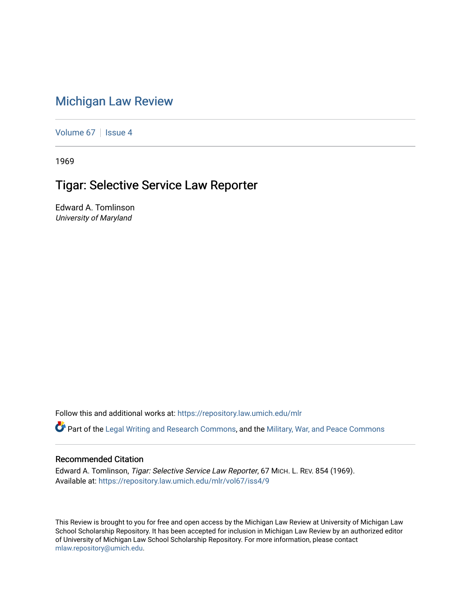## [Michigan Law Review](https://repository.law.umich.edu/mlr)

[Volume 67](https://repository.law.umich.edu/mlr/vol67) | [Issue 4](https://repository.law.umich.edu/mlr/vol67/iss4)

1969

## Tigar: Selective Service Law Reporter

Edward A. Tomlinson University of Maryland

Follow this and additional works at: [https://repository.law.umich.edu/mlr](https://repository.law.umich.edu/mlr?utm_source=repository.law.umich.edu%2Fmlr%2Fvol67%2Fiss4%2F9&utm_medium=PDF&utm_campaign=PDFCoverPages) 

Part of the [Legal Writing and Research Commons,](http://network.bepress.com/hgg/discipline/614?utm_source=repository.law.umich.edu%2Fmlr%2Fvol67%2Fiss4%2F9&utm_medium=PDF&utm_campaign=PDFCoverPages) and the [Military, War, and Peace Commons](http://network.bepress.com/hgg/discipline/861?utm_source=repository.law.umich.edu%2Fmlr%2Fvol67%2Fiss4%2F9&utm_medium=PDF&utm_campaign=PDFCoverPages)

## Recommended Citation

Edward A. Tomlinson, Tigar: Selective Service Law Reporter, 67 MICH. L. REV. 854 (1969). Available at: [https://repository.law.umich.edu/mlr/vol67/iss4/9](https://repository.law.umich.edu/mlr/vol67/iss4/9?utm_source=repository.law.umich.edu%2Fmlr%2Fvol67%2Fiss4%2F9&utm_medium=PDF&utm_campaign=PDFCoverPages)

This Review is brought to you for free and open access by the Michigan Law Review at University of Michigan Law School Scholarship Repository. It has been accepted for inclusion in Michigan Law Review by an authorized editor of University of Michigan Law School Scholarship Repository. For more information, please contact [mlaw.repository@umich.edu.](mailto:mlaw.repository@umich.edu)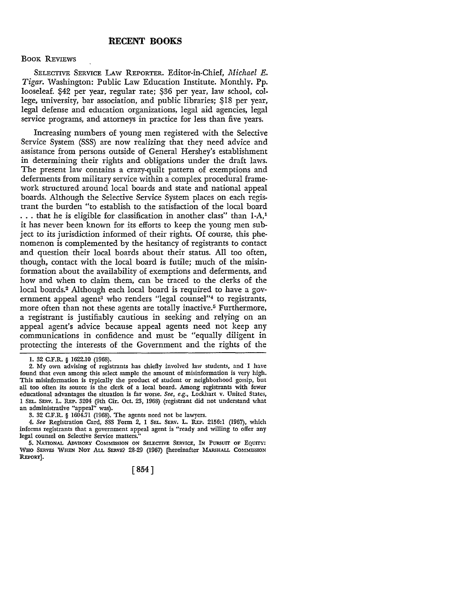## BOOK REVIEWS

SELECTIVE SERVICE LAW REPORTER. Editor-in-Chief, *Michael E. Tigar.* Washington: Public Law Education Institute. Monthly. Pp. looseleaf. \$42 per year, regular rate; \$36 per year, law school, college, university, bar association, and public libraries; \$18 per year, legal defense and education organizations, legal aid agencies, legal service programs, and attorneys in practice for less than five years.

Increasing numbers of young men registered with the Selective Service System (SSS) are now realizing that they need advice and assistance from persons outside of General Hershey's establishment in determining their rights and obligations under the draft laws. The present law contains a crazy-quilt pattern of exemptions and deferments from military service within a complex procedural framework structured around local boards and state and national appeal boards. Although the Selective Service System places on each registrant the burden "to establish to the satisfaction of the local board ... that he is eligible for classification in another class" than 1-A,<sup>1</sup> it has never been known for its efforts to keep the young men subject to its jurisdiction informed of their rights. Of course, this phenomenon is complemented by the hesitancy of registrants to contact and question their local boards about their status. All too often, though, contact with the local board is futile; much of the misinformation about the availability of exemptions and deferments, and how and when to claim them, can be traced to the clerks of the local boards.2 Although each local board is required to have a government appeal agent<sup>3</sup> who renders "legal counsel"<sup>4</sup> to registrants, more often than not these agents are totally inactive.<sup>5</sup> Furthermore, a registrant is justifiably cautious in seeking and relying on an appeal agent's advice because appeal agents need not keep any communications in confidence and must be "equally diligent in protecting the interests of the Government and the rights of the

I. 32 C.F.R. § 1622.10 (1968).

<sup>2.</sup> My own advising of registrants has chiefly involved law students, and I have found that even among this select sample the amount of misinformation is very high. This misinformation is typically the product of student or neighborhood gossip, but all too often its source is the clerk of a local board. Among registrants with fewer educational advantages the situation is far worse. *See, e.g.,* Lockhart v. United States, I SEL. SERV. L. REP. 3204 (9th Cir. Oct. 23, 1968) (registrant did not understand what an administrative "appeal" was).

<sup>3. 32</sup> C.F.R. § 1604.71 (1968). The agents need not be lawyers.

<sup>4.</sup> *See* Registration Card, SSS Form 2, 1 SEL. SERV. L. REP. 2156:l (1967), which informs registrants that a government appeal agent is "ready and willing to offer any legal counsel on Selective Service matters."

<sup>5.</sup> NATIONAL ADVISORY COMMISSION ON SELECTIVE SERVICE, IN PURSUIT OF EQUITY: WHO SERVES WHEN NOT ALL SERVE? 28-29 (1967) [hereinafter MARSHALL COMMISSION REPORT].

<sup>[854]</sup>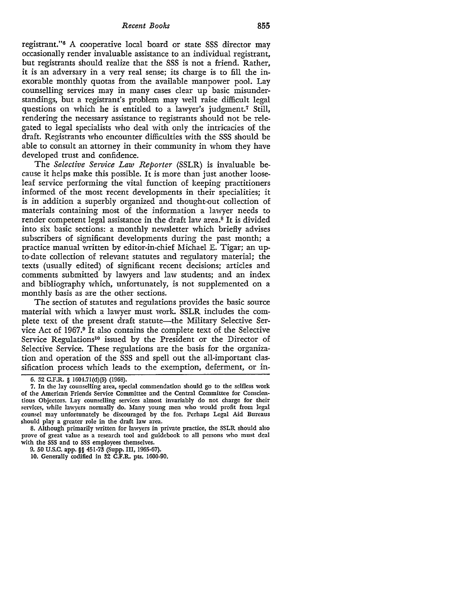*Recent Books* 855

registrant."6 A cooperative local board or state SSS director may occasionally render invaluable assistance to an individual registrant, but registrants should realize that the SSS is not a friend. Rather, it is an adversary in a very real sense; its charge is to fill the inexorable monthly quotas from the available manpower pool. Lay counselling services may in many cases clear up basic misunderstandings, but a registrant's problem may well raise difficult legal questions on which he is entitled to a lawyer's judgment.7 Still, rendering the necessary assistance to registrants should not be relegated to legal specialists who deal with only the intricacies of the draft. Registrants who encounter difficulties with the SSS should be able to consult an attorney in their community in whom they have developed trust and confidence.

The *Selective Service Law Reporter* (SSLR) is invaluable because it helps make this possible. It is more than just another looseleaf service performing the vital function of keeping practitioners informed of the most recent developments in their specialities; it is in addition a superbly organized and thought-out collection of materials containing most of the information a lawyer needs to render competent legal assistance in the draft law area.<sup>8</sup> It is divided into six basic sections: a monthly newsletter which briefly advises subscribers of significant developments during the past month; a practice manual written by editor-in-chief Michael E. Tigar; an upto-date collection of relevant statutes and regulatory material; the texts (usually edited) of significant recent decisions; articles and comments submitted by lawyers and law students; and an index and bibliography which, unfortunately, is not supplemented on a monthly basis as are the other sections.

The section of statutes and regulations provides the basic source material with which a lawyer must work. SSLR includes the complete text of the present draft statute-the Military Selective Service Act of 1967.<sup>9</sup> It also contains the complete text of the Selective Service Regulations<sup>10</sup> issued by the President or the Director of Selective Service. These regulations are the basis for the organization and operation of the SSS and spell out the all-important classification process which leads to the exemption, deferment, or in-

<sup>6. 32</sup> C.F.R. § 1604.7l(d)(5) (1968).

<sup>7.</sup> In the lay counselling area, special commendation should go to the selfless work of the American Friends Service Committee and the Central Committee for Conscientious Objectors. Lay counselling services almost invariably do not charge for their services, while lawyers normally do. Many young men who would profit from legal counsel may unfortunately be discouraged by the fee. Perhaps Legal Aid Bureaus should play a greater role in the draft law area.

<sup>8.</sup> Although primarily written for lawyers in private practice, the SSLR should also prove of great value as a research tool and guidebook to all persons who must deal with the SSS and to SSS employees themselves.

<sup>9. 50</sup> U.S.C. app. §§ 451-73 (Supp. III, 1965-67).

IO. Generally codified in 32 C.F.R. pts. 1600-90.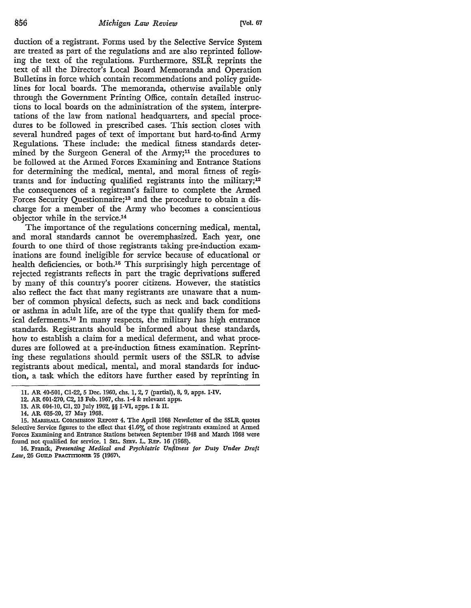duction of a registrant. Forms used by the Selective Service System are treated as part of the regulations and are also reprinted following the text of the regulations. Furthermore, SSLR reprints the text of all the Director's Local Board Memoranda and Operation Bulletins in force which contain recommendations and policy guidelines for local boards. The memoranda, otherwise available only through the Government Printing Office, contain detailed instructions to local boards on the administration of the system, interpretations of the law from national headquarters, and special procedures to be followed in prescribed cases. This section closes with several hundred pages of text of important but hard-to-find Army Regulations. These include: the medical fitness standards determined by the Surgeon General of the Army;<sup>11</sup> the procedures to be followed at the Armed Forces Examining and Entrance Stations for determining the medical, mental, and moral fitness of registrants and for inducting qualified registrants into the military;12 the consequences of a registrant's failure to complete the Armed Forces Security Questionnaire;<sup>13</sup> and the procedure to obtain a discharge for a member of the Army who becomes a conscientious objector while in the service.14

The importance of the regulations concerning medical, mental, and moral standards cannot be overemphasized. Each year, one fourth to one third of those registrants taking pre-induction examinations are found ineligible for service because of educational or health deficiencies, or both.<sup>15</sup> This surprisingly high percentage of rejected registrants reflects in part the tragic deprivations suffered by many of this country's poorer citizens. However, the statistics also reflect the fact that many registrants are unaware that a number of common physical defects, such as neck and back conditions or asthma in adult life, are of the type that qualify them for medical deferments.16 In many respects, the military has high entrance standards. Registrants should be informed about these standards, how to establish a claim for a medical deferment, and what procedures are followed at a pre-induction fitness examination. Reprinting these regulations should permit users of the SSLR to advise registrants about medical, mental, and moral standards for induction, a task which the editors have further eased by reprinting in

<sup>11.</sup> AR 40-501, Cl-22, 5 Dec. 1960, chs. l, 2, 7 (partial), 8, 9, apps. I-IV.

<sup>12.</sup> AR 601-270, C2, 13 Feb. 1967, chs. 1-4 & relevant apps.

<sup>13.</sup> AR 604-10, Cl, 20 July 1962, §§ I-VI, apps. I & II.

<sup>14.</sup> AR 635-20, 27 May 1968.

<sup>15.</sup> MARSHALL COMMISSION REPORT 4. The April 1968 Newsletter of the SSLR quotes Selective Service figures to the effect that 41.6% of those registrants examined at Armed Forces Examining and Entrance Stations between September 1948 and March 1968 were found not qualified for service. 1 SEL. SERv. L. REP. 16 (1968).

<sup>16.</sup> Franck, *Presenting Medical and Psychiatric Unfitness for Duty Under Draft*  Law, 26 GUILD PRACTITIONER 75 (1967).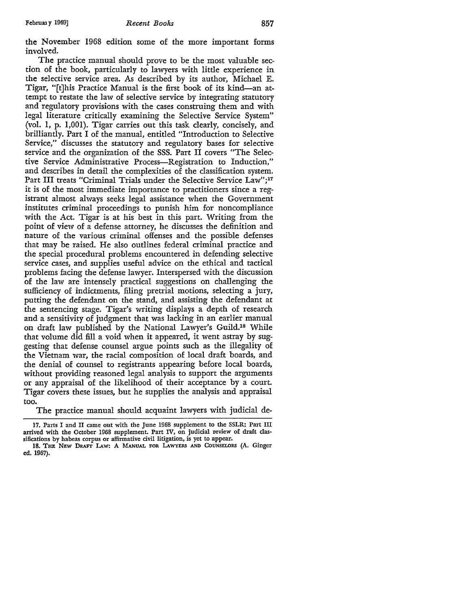the November 1968 edition some of the more important forms involved.

The practice manual should prove to be the most valuable section of the book, particularly to lawyers with little experience in the selective service area. As described by its author, Michael E. Tigar, "[t]his Practice Manual is the first book of its kind-an attempt to restate the law of selective service by integrating statutory and regulatory provisions with the cases construing them and with legal literature critically examining the Selective Service System" (vol. 1, p. 1,001). Tigar carries out this task clearly, concisely, and brilliantly. Part I of the manual, entitled "Introduction to Selective Service," discusses the statutory and regulatory bases for selective service and the organization of the SSS. Part II covers "The Selective Service Administrative Process-Registration to Induction," and describes in detail the complexities of the classification system. Part III treats "Criminal Trials under the Selective Service Law";<sup>17</sup> it is of the most immediate importance to practitioners since a registrant almost always seeks legal assistance when the Government institutes criminal proceedings to punish him for noncompliance with the Act. Tigar is at his best in this part. Writing from the point of view of a defense attorney, he discusses the definition and nature of the various criminal offenses and the possible defenses that may be raised. He also outlines federal criminal practice and the special procedural problems encountered in defending selective service cases, and supplies useful advice on the ethical and tactical problems facing the defense lawyer. Interspersed with the discussion of the law are intensely practical suggestions on challenging the sufficiency of indictments, filing pretrial motions, selecting a jury, putting the defendant on the stand, and assisting the defendant at the sentencing stage. Tigar's writing displays a depth of research and a sensitivity of judgment that was lacking in an earlier manual on draft law published by the National Lawyer's Guild.<sup>18</sup> While that volume did fill a void when it appeared, it went astray by suggesting that defense counsel argue points such as the illegality of the Vietnam war, the racial composition of local draft boards, and the denial of counsel to registrants appearing before local boards, without providing reasoned legal analysis to support the arguments or any appraisal of the likelihood of their acceptance by a court. Tigar covers these issues, but he supplies the analysis and appraisal too.

The practice manual should acquaint lawyers with judicial de-

<sup>17.</sup> Parts I and II came out with the June 1968 supplement to the SSLR; Part III arrived with the October 1968 supplement. Part IV, on judicial review of draft classifications by habeas corpus or affirmative civil litigation, is yet to appear.

<sup>18.</sup> THE NEW DRAFT LAw: A MANUAL FOR LAWYERS AND COUNSELORS (A. Ginger ed. 1967).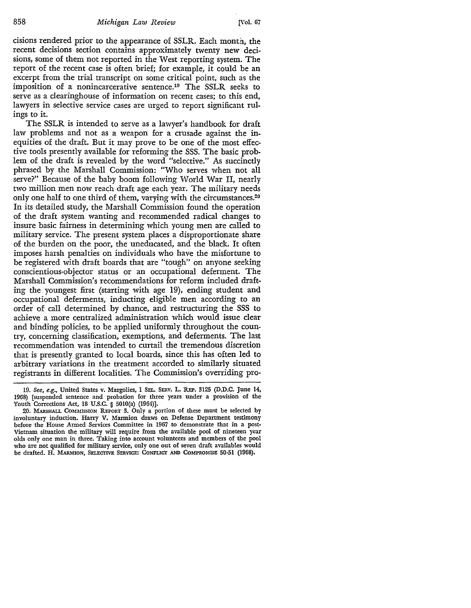858 *Michigan Law Review* [Vol. 67

cisions rendered prior to the appearance of SSLR. Each month, the recent decisions section contains approximately twenty new decisions, some of them not reported in the West reporting system. The report of the recent case is often brief; for example, it could be an excerpt from the trial transcript on some critical point, such as the imposition of a nonincarcerative sentence.19 The SSLR seeks to serve as a clearinghouse of information on recent cases; to this end, lawyers in selective service cases are urged to report significant rulings to it.

The SSLR is intended to serve as a lawyer's handbook for draft law problems and not as a weapon for a crusade against the inequities of the draft. But it may prove to be one of the most effective tools presently available for reforming the SSS. The basic problem of the draft is revealed by the word "selective." As succinctly phrased by the Marshall Commission: "Who serves when not all serve?" Because of the baby boom following World War II, nearly two million men now reach draft age each year. The military needs only one half to one third of them, varying with the circumstances.<sup>20</sup> In its detailed study, the Marshall Commission found the operation of the draft system wanting and recommended radical changes to insure basic fairness in determining which young men are called to military service. The present system places a disproportionate share of the burden on the poor, the uneducated, and the black. It often imposes harsh penalties on individuals who have the misfortune to be registered with draft boards that are "tough" on anyone seeking conscientious-objector status or an occupational deferment. The Marshall Commission's recommendations for reform included drafting the youngest first (starting with age 19), ending student and occupational deferments, inducting eligible men according to an order of call determined by chance, and restructuring the SSS to achieve a more centralized administration which would issue clear and binding policies, to be applied uniformly throughout the country, concerning classification, exemptions, and deferments. The last recommendation was intended to curtail the tremendous discretion that is presently granted to local boards, since this has often led to arbitrary variations in the treatment accorded to similarly situated registrants in different localities. The Commission's overriding pro-

<sup>19.</sup> *See, e.g.,* United States v. Margolies, 1 SEL. SERV. L. REP. 3125 (D.D.C. June 14, 1968) [suspended sentence and probation for three years under a provision of the Youth Corrections Act, 18 U.S.C. § 5010(a) (1964)].

<sup>20.</sup> MARSHALL COMMISSION REPORT 3. Only a portion of these must be selected by involuntary induction. Harry V. Marmion draws on Defense Department testimony before the House Armed Services Committee in 1967 to demonstrate that in a post-Vietnam situation the military will require from the available pool of nineteen year olds only one man in three. Taking into account volunteers and members of the pool who are not qualified for military service, only one out of seven draft availables would be drafted. H. MARMION, SELECTIVE SERVICE: CONFLICT AND COMPROMISE 50-51 (1968).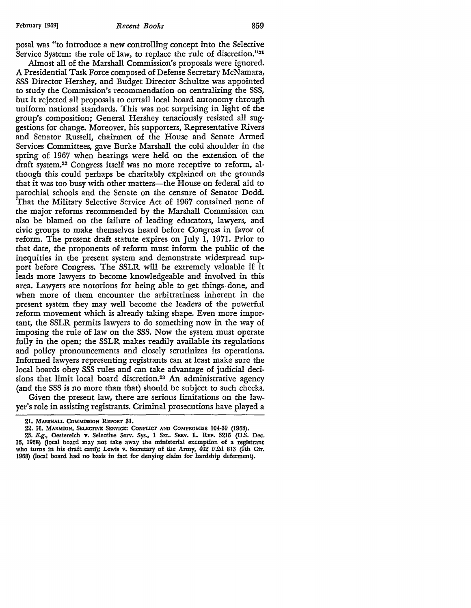posal was "to introduce a new controlling concept into the Selective Service System: the rule of law, to replace the rule of discretion."21

Almost all of the Marshall Commission's proposals were ignored. A Presidential Task Force composed of Defense Secretary McNamara, SSS Director Hershey, and Budget Director Schultze was appointed to study the Commission's recommendation on centralizing the SSS, but it rejected all proposals to curtail local board autonomy through uniform national standards. This was not surprising in light of the group's composition; General Hershey tenaciously resisted all suggestions for change. Moreover, his supporters, Representative Rivers and Senator Russell, chairmen of the House and Senate Armed Services Committees, gave Burke Marshall the cold shoulder in the spring of 1967 when hearings were held on the extension of the draft system.22 Congress itself was no more receptive to reform, although this could perhaps be charitably explained on the grounds that it was too busy with other matters--the House on federal aid to parochial schools and the Senate on the censure of Senator Dodd. That the Military Selective Service Act of 1967 contained none of the major reforms recommended by the Marshall Commission can also be blamed on the failure of leading educators, lawyers, and civic groups to make themselves heard before Congress in favor of reform. The present draft statute expires on July I, 1971. Prior to that date, the proponents of reform must inform the public of the inequities in the present system and demonstrate widespread support before Congress. The SSLR will be extremely valuable if it leads more lawyers to become knowledgeable and involved in this area. Lawyers are notorious for being able to get things. done, and when more of them encounter the arbitrariness inherent in the present system they may well become the leaders of the powerful reform movement which is already taking shape. Even more important, the SSLR permits lawyers to do something now in the way of imposing the rule of law on the SSS. Now the system must operate fully in the open; the SSLR makes readily available its regulations and policy pronouncements and closely scrutinizes its operations. Informed lawyers representing registrants can at least make sure the local boards obey SSS rules and can take advantage of judicial decisions that limit local board discretion.<sup>23</sup> An administrative agency (and the SSS is no more than that) should be subject to such checks.

Given the present law, there are serious limitations on the lawyer's role in assisting registrants. Criminal prosecutions have played a

<sup>21.</sup> MARsHALL CoMMISSION REPORT 31.

<sup>22.</sup> H. MARMION, SELECTIVE SERVICE: CoNFLicr AND COMPROMISE 104-39 (1968). 23. E.g., Oestereich v. Selective Serv. Sys., 1 SEL. SERV. L. REP. 3215 (U.S. Dec. 16, 1968) *Qocal* board may not take away the ministerial exemption of a registrant who turns in his draft card); Lewis v. Secretary of the Army, 402 F.2d 813 (9th Cir. 1968) *Qocal* board had no basis in fact for denying claim for hardship deferment).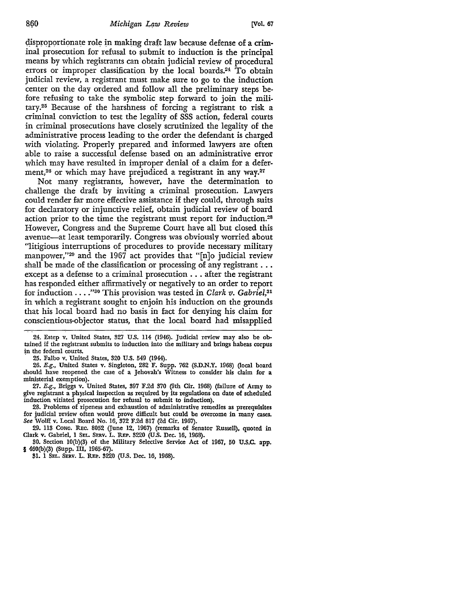disproportionate role in making draft law because defense of a criminal prosecution for refusal to submit to induction is the principal means by which registrants can obtain judicial review of procedural errors or improper classification by the local boards.24 To obtain judicial review, a registrant must make sure to go to the induction center on the day ordered and follow all the preliminary steps before refusing to take the symbolic step forward to join the military.25 Because of the harshness of forcing a registrant to risk a criminal conviction to test the legality of SSS action, federal courts in criminal prosecutions have closely scrutinized the legality of the administrative process leading to the order the defendant is charged with violating. Properly prepared and informed lawyers are often able to raise a successful defense based on an administrative error which may have resulted in improper denial of a claim for a deferment,<sup>26</sup> or which may have prejudiced a registrant in any way.<sup>27</sup>

Not many registrants, however, have the determination to challenge the draft by inviting a criminal prosecution. Lawyers could render far more effective assistance if they could, through suits for declaratory or injunctive relief, obtain judicial review of board action prior to the time the registrant must report for induction.28 However, Congress and the Supreme Court have all but closed this avenue-at least temporarily. Congress was obviously worried about "litigious interruptions of procedures to provide necessary military manpower,"<sup>29</sup> and the 1967 act provides that "[n]o judicial review shall be made of the classification or processing of any registrant ... except as a defense to a criminal prosecution ... after the registrant has responded either affirmatively or negatively to an order to report for induction .... "30 This provision was tested in *Clark v. Gabriel,31*  in which a registrant sought to enjoin his induction on the grounds that his local board had no basis in fact for denying his claim for conscientious-objector status, that the local board had misapplied

24. Estep v. United States, 327 U.S. 114 (1946). Judicial review may also be obtained if the registrant submits to induction into the military and brings habeas corpus in the federal courts.

· 25. Falbo v. United States, 320 U.S. 549 (1944).

26. E.g., United States v. Singleton, 282 F. Supp. 762 (S.D.N.Y. 1968) (local board should have reopened the case of a Jehovah's Witness to consider his claim for a ministerial exemption).

27. E.g., Briggs v. United States, 397 F.2d 370 (9th Cir. 1968) (failure of Anny to give registrant a physical inspection as required by its regulations on date of scheduled induction vitiated prosecution for refusal to submit to induction).

28. Problems of ripeness and exhaustion of administrative remedies as prerequisites for judicial review often would prove difficult but could be overcome in many cases. See Wolff v. Local Board No. 16, 372 F.2d 817 (2d Cir. 1967).

29. 113 CONG. REc. 8052 (June 12, 1967) (remarks of Senator Russell), quoted in Clark v. Gabriel, I SEL. SERv. L. REP. 3220 (U.S. Dec. 16, 1968).

30. Section IO(b)(3) of the Military Selective Service Act of 1967, 50 U.S.C. app. § 460(b)(3) (Supp. Ill, 1965-67).

81. 1 SEL. SERv. L. REP. 3220 (U.S. Dec. 16, 1968).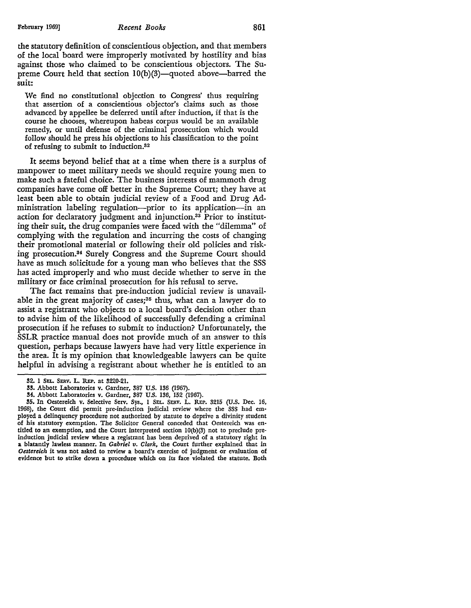the statutory definition of conscientious objection, and that members of the local board were improperly motivated by hostility and bias against those who claimed to be conscientious objectors. The Supreme Court held that section  $10(b)(3)$ —quoted above—barred the suit:

We find no constitutional objection to Congress' thus requiring that assertion of a conscientious objector's claims such as those advanced by appellee be deferred until after induction, if that is the course he chooses, whereupon habeas corpus would be an available remedy, or until defense of the criminal prosecution which would follow should he press his objections to his classification to the point of refusing to submit to induction.32

It seems beyond belief that at a time when there is a surplus of manpower to meet military needs we should require young men to make such a fateful choice. The business interests of mammoth drug companies have come off better in the Supreme Court; they have at least been able to obtain judicial review of a Food and Drug Administration labeling regulation-prior to its application-in an action for declaratory judgment and injunction.33 Prior to instituting their suit, the drug companies were faced with the "dilemma" of complying with the regulation and incurring the costs of changing their promotional material or following their old policies and risking prosecution.34 Surely Congress and the Supreme Court should have as much solicitude for a young man who believes that the SSS has acted improperly and who must decide whether to serve in the military or face criminal prosecution for his refusal to serve.

The fact remains that pre-induction judicial review is unavailable in the great majority of cases; $35$  thus, what can a lawyer do to assist a registrant who objects to a local board's decision other than to advise him of the likelihood of successfully defending a criminal prosecution if he refuses to submit to induction? Unfortunately, the SSLR practice manual does not provide much of an answer to this question, perhaps because lawyers have had very little experience in the area. It is my opinion that knowledgeable lawyers can be quite helpful in advising a registrant about whether he is entitled to an

**<sup>!12.</sup> l** SEL. SERV. **L.** REP. at !1220-21.

<sup>33.</sup> Abbott Laboratories v. Gardner, 387 U.S. 136 (1967).

<sup>34.</sup> Abbott Laboratories v. Gardner, 387 U.S. 136, 152 (1967).

<sup>!15.</sup> In Oestereich v. Selective Serv. Sys., 1 SEL. SERV. L. REP. 3215 (U.S. Dec. 16, 1968), the Court did permit pre-induction judicial review where the SSS had employed a delinquency procedure not authorized by statute to deprive a divinity student of his statutory exemption. The Solicitor General conceded that Oestereich was entitled to an exemption, and the Court interpreted section IO(b)(3) not to preclude preinduction judicial review where a registrant has been deprived of a statutory right in **a** blatantly lawless manner. In *Gabriel v. Clark,* the Court further explained that in *Oestereich* it was not asked to review a board's exercise of judgment or evaluation of evidence but to strike down a procedure which on its face violated the statute. Both